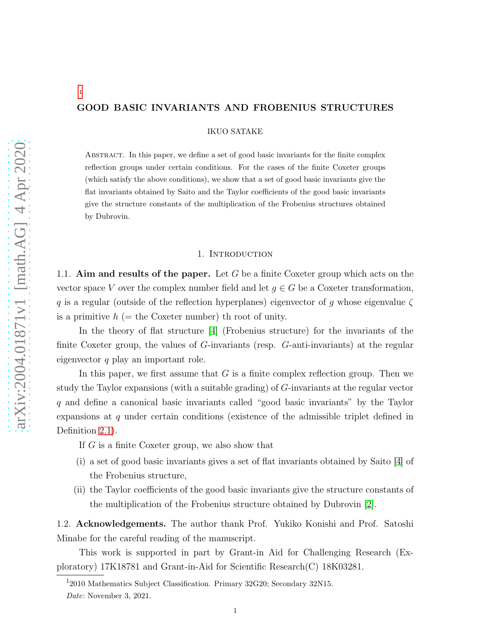# GOOD BASIC INVARIANTS AND FROBENIUS STRUCTURES

IKUO SATAKE

Abstract. In this paper, we define a set of good basic invariants for the finite complex reflection groups under certain conditions. For the cases of the finite Coxeter groups (which satisfy the above conditions), we show that a set of good basic invariants give the flat invariants obtained by Saito and the Taylor coefficients of the good basic invariants give the structure constants of the multiplication of the Frobenius structures obtained by Dubrovin.

## 1. Introduction

1.1. Aim and results of the paper. Let  $G$  be a finite Coxeter group which acts on the vector space V over the complex number field and let  $q \in G$  be a Coxeter transformation, q is a regular (outside of the reflection hyperplanes) eigenvector of g whose eigenvalue  $\zeta$ is a primitive  $h$  (= the Coxeter number) th root of unity.

In the theory of flat structure [\[4\]](#page-20-0) (Frobenius structure) for the invariants of the finite Coxeter group, the values of G-invariants (resp. G-anti-invariants) at the regular eigenvector  $q$  play an important role.

In this paper, we first assume that  $G$  is a finite complex reflection group. Then we study the Taylor expansions (with a suitable grading) of G-invariants at the regular vector q and define a canonical basic invariants called "good basic invariants" by the Taylor expansions at q under certain conditions (existence of the admissible triplet defined in Definition [2.1\)](#page-2-0).

If G is a finite Coxeter group, we also show that

- (i) a set of good basic invariants gives a set of flat invariants obtained by Saito [\[4\]](#page-20-0) of the Frobenius structure,
- (ii) the Taylor coefficients of the good basic invariants give the structure constants of the multiplication of the Frobenius structure obtained by Dubrovin [\[2\]](#page-20-1).

1.2. Acknowledgements. The author thank Prof. Yukiko Konishi and Prof. Satoshi Minabe for the careful reading of the manuscript.

This work is supported in part by Grant-in Aid for Challenging Research (Exploratory) 17K18781 and Grant-in-Aid for Scientific Research(C) 18K03281.

[1](#page-0-0)

<sup>&</sup>lt;sup>1</sup>2010 Mathematics Subject Classification. Primary 32G20; Secondary 32N15.

<span id="page-0-0"></span>Date: November 3, 2021.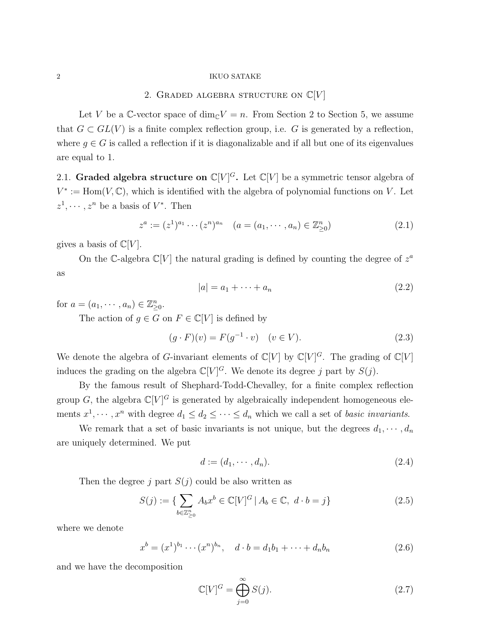#### $2\,$   $\,$  IKUO SATAKE

# 2. GRADED ALGEBRA STRUCTURE ON  $\mathbb{C}[V]$

Let V be a C-vector space of  $\dim_{\mathbb{C}} V = n$ . From Section 2 to Section 5, we assume that  $G \subset GL(V)$  is a finite complex reflection group, i.e. G is generated by a reflection, where  $g \in G$  is called a reflection if it is diagonalizable and if all but one of its eigenvalues are equal to 1.

2.1. Graded algebra structure on  $\mathbb{C}[V]^G$ . Let  $\mathbb{C}[V]$  be a symmetric tensor algebra of  $V^* := \text{Hom}(V, \mathbb{C})$ , which is identified with the algebra of polynomial functions on V. Let  $z^1, \dots, z^n$  be a basis of  $V^*$ . Then

$$
z^{a} := (z^{1})^{a_{1}} \cdots (z^{n})^{a_{n}} \quad (a = (a_{1}, \cdots, a_{n}) \in \mathbb{Z}_{\geq 0}^{n})
$$
\n(2.1)

gives a basis of  $\mathbb{C}[V]$ .

On the C-algebra  $\mathbb{C}[V]$  the natural grading is defined by counting the degree of  $z^a$ as

$$
|a| = a_1 + \dots + a_n \tag{2.2}
$$

for  $a = (a_1, \dots, a_n) \in \mathbb{Z}_{\geq 0}^n$ .

The action of  $g \in G$  on  $F \in \mathbb{C}[V]$  is defined by

$$
(g \cdot F)(v) = F(g^{-1} \cdot v) \quad (v \in V).
$$
 (2.3)

We denote the algebra of G-invariant elements of  $\mathbb{C}[V]$  by  $\mathbb{C}[V]^G$ . The grading of  $\mathbb{C}[V]$ induces the grading on the algebra  $\mathbb{C}[V]^G$ . We denote its degree j part by  $S(j)$ .

By the famous result of Shephard-Todd-Chevalley, for a finite complex reflection group G, the algebra  $\mathbb{C}[V]^G$  is generated by algebraically independent homogeneous elements  $x^1, \dots, x^n$  with degree  $d_1 \leq d_2 \leq \dots \leq d_n$  which we call a set of *basic invariants*.

We remark that a set of basic invariants is not unique, but the degrees  $d_1, \dots, d_n$ are uniquely determined. We put

$$
d := (d_1, \cdots, d_n). \tag{2.4}
$$

Then the degree j part  $S(j)$  could be also written as

$$
S(j) := \{ \sum_{b \in \mathbb{Z}_{\geq 0}^n} A_b x^b \in \mathbb{C}[V]^G \mid A_b \in \mathbb{C}, \ d \cdot b = j \}
$$
 (2.5)

where we denote

$$
x^{b} = (x^{1})^{b_{1}} \cdots (x^{n})^{b_{n}}, \quad d \cdot b = d_{1}b_{1} + \cdots + d_{n}b_{n}
$$
 (2.6)

and we have the decomposition

<span id="page-1-0"></span>
$$
\mathbb{C}[V]^G = \bigoplus_{j=0}^{\infty} S(j). \tag{2.7}
$$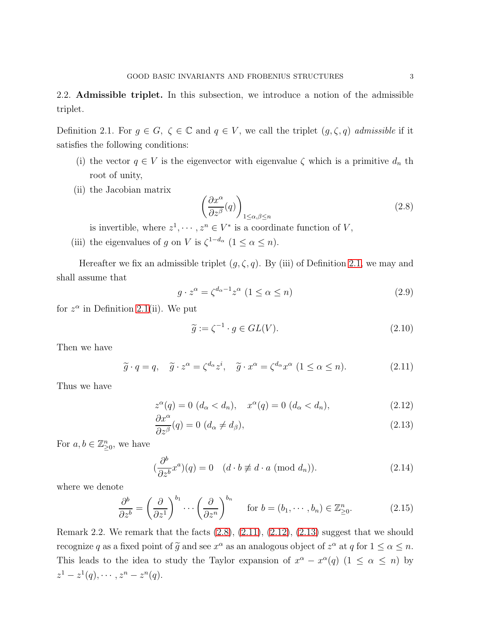2.2. Admissible triplet. In this subsection, we introduce a notion of the admissible triplet.

<span id="page-2-0"></span>Definition 2.1. For  $g \in G$ ,  $\zeta \in \mathbb{C}$  and  $q \in V$ , we call the triplet  $(g, \zeta, q)$  admissible if it satisfies the following conditions:

- (i) the vector  $q \in V$  is the eigenvector with eigenvalue  $\zeta$  which is a primitive  $d_n$  th root of unity,
- (ii) the Jacobian matrix

<span id="page-2-1"></span>
$$
\left(\frac{\partial x^{\alpha}}{\partial z^{\beta}}(q)\right)_{1\leq\alpha,\beta\leq n} \tag{2.8}
$$

is invertible, where  $z^1, \dots, z^n \in V^*$  is a coordinate function of V,

(iii) the eigenvalues of g on V is  $\zeta^{1-d_{\alpha}}$   $(1 \leq \alpha \leq n)$ .

Hereafter we fix an admissible triplet  $(g, \zeta, q)$ . By (iii) of Definition [2.1,](#page-2-0) we may and shall assume that

<span id="page-2-5"></span>
$$
g \cdot z^{\alpha} = \zeta^{d_{\alpha}-1} z^{\alpha} \ (1 \le \alpha \le n)
$$
\n<sup>(2.9)</sup>

for  $z^{\alpha}$  in Definition [2.1\(](#page-2-0)ii). We put

$$
\widetilde{g} := \zeta^{-1} \cdot g \in GL(V). \tag{2.10}
$$

Then we have

<span id="page-2-2"></span>
$$
\widetilde{g} \cdot q = q, \quad \widetilde{g} \cdot z^{\alpha} = \zeta^{d_{\alpha}} z^{i}, \quad \widetilde{g} \cdot x^{\alpha} = \zeta^{d_{\alpha}} x^{\alpha} \ (1 \le \alpha \le n). \tag{2.11}
$$

Thus we have

<span id="page-2-3"></span>
$$
z^{\alpha}(q) = 0 \ (d_{\alpha} < d_n), \quad x^{\alpha}(q) = 0 \ (d_{\alpha} < d_n), \tag{2.12}
$$

$$
\frac{\partial x^{\alpha}}{\partial z^{\beta}}(q) = 0 \ (d_{\alpha} \neq d_{\beta}), \tag{2.13}
$$

For  $a, b \in \mathbb{Z}_{\geq 0}^n$ , we have

<span id="page-2-4"></span>
$$
\left(\frac{\partial^b}{\partial z^b}x^a\right)(q) = 0 \quad (d \cdot b \not\equiv d \cdot a \text{ (mod } d_n)).\tag{2.14}
$$

where we denote

$$
\frac{\partial^b}{\partial z^b} = \left(\frac{\partial}{\partial z^1}\right)^{b_1} \cdots \left(\frac{\partial}{\partial z^n}\right)^{b_n} \quad \text{for } b = (b_1, \dots, b_n) \in \mathbb{Z}_{\geq 0}^n. \tag{2.15}
$$

Remark 2.2. We remark that the facts  $(2.8)$ ,  $(2.11)$ ,  $(2.12)$ ,  $(2.13)$  suggest that we should recognize q as a fixed point of  $\tilde{g}$  and see  $x^{\alpha}$  as an analogous object of  $z^{\alpha}$  at q for  $1 \le \alpha \le n$ . This leads to the idea to study the Taylor expansion of  $x^{\alpha} - x^{\alpha}(q)$  (1  $\leq \alpha \leq n$ ) by  $z^1 - z^1(q), \cdots, z^n - z^n(q).$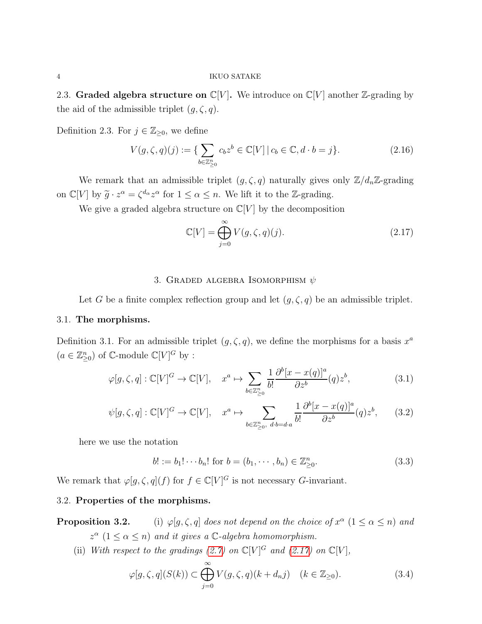2.3. Graded algebra structure on  $\mathbb{C}[V]$ . We introduce on  $\mathbb{C}[V]$  another Z-grading by the aid of the admissible triplet  $(g, \zeta, q)$ .

Definition 2.3. For  $j \in \mathbb{Z}_{\geq 0}$ , we define

$$
V(g,\zeta,q)(j) := \{ \sum_{b \in \mathbb{Z}_{\geq 0}^n} c_b z^b \in \mathbb{C}[V] \, | \, c_b \in \mathbb{C}, d \cdot b = j \}. \tag{2.16}
$$

We remark that an admissible triplet  $(g, \zeta, q)$  naturally gives only  $\mathbb{Z}/d_n\mathbb{Z}$ -grading on  $\mathbb{C}[V]$  by  $\widetilde{g} \cdot z^{\alpha} = \zeta^{d_{\alpha}} z^{\alpha}$  for  $1 \leq \alpha \leq n$ . We lift it to the Z-grading.

We give a graded algebra structure on  $\mathbb{C}[V]$  by the decomposition

<span id="page-3-0"></span>
$$
\mathbb{C}[V] = \bigoplus_{j=0}^{\infty} V(g,\zeta,q)(j). \tag{2.17}
$$

### 3. GRADED ALGEBRA ISOMORPHISM  $\psi$

Let G be a finite complex reflection group and let  $(g, \zeta, q)$  be an admissible triplet.

### 3.1. The morphisms.

Definition 3.1. For an admissible triplet  $(g, \zeta, q)$ , we define the morphisms for a basis  $x^a$  $(a\in\mathbb{Z}_{\geq0}^n)$  of  $\mathbb{C}\text{-module }\mathbb{C}[V]^G$  by :

<span id="page-3-1"></span>
$$
\varphi[g,\zeta,q]:\mathbb{C}[V]^G \to \mathbb{C}[V], \quad x^a \mapsto \sum_{b \in \mathbb{Z}_{\geq 0}^n} \frac{1}{b!} \frac{\partial^b [x - x(q)]^a}{\partial z^b} (q) z^b, \tag{3.1}
$$

$$
\psi[g,\zeta,q]:\mathbb{C}[V]^G\to\mathbb{C}[V],\quad x^a\mapsto\sum_{b\in\mathbb{Z}_{\geq 0}^n,\ d\cdot b=d\cdot a}\frac{1}{b!}\frac{\partial^b[x-x(q)]^a}{\partial z^b}(q)z^b,\qquad(3.2)
$$

here we use the notation

$$
b! := b_1! \cdots b_n! \text{ for } b = (b_1, \cdots, b_n) \in \mathbb{Z}_{\geq 0}^n. \tag{3.3}
$$

We remark that  $\varphi[g,\zeta,q](f)$  for  $f \in \mathbb{C}[V]^G$  is not necessary G-invariant.

## 3.2. Properties of the morphisms.

**Proposition 3.2.** (i)  $\varphi[g,\zeta,q]$  does not depend on the choice of  $x^{\alpha}$   $(1 \leq \alpha \leq n)$  and  $z^{\alpha}$   $(1 \leq \alpha \leq n)$  and it gives a  $\mathbb{C}$ -algebra homomorphism.

(ii) With respect to the gradings [\(2.7\)](#page-1-0) on  $\mathbb{C}[V]^G$  and [\(2.17\)](#page-3-0) on  $\mathbb{C}[V]$ ,

$$
\varphi[g,\zeta,q](S(k)) \subset \bigoplus_{j=0}^{\infty} V(g,\zeta,q)(k+d_n j) \quad (k \in \mathbb{Z}_{\geq 0}).
$$
\n(3.4)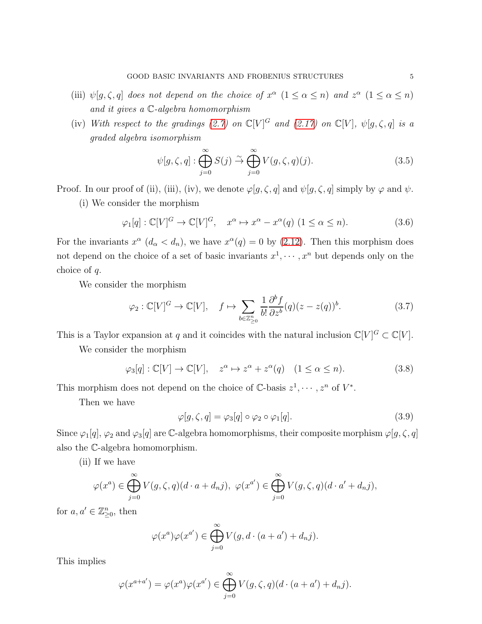- (iii)  $\psi[g,\zeta,q]$  does not depend on the choice of  $x^{\alpha}$   $(1 \leq \alpha \leq n)$  and  $z^{\alpha}$   $(1 \leq \alpha \leq n)$ and it gives a C-algebra homomorphism
- (iv) With respect to the gradings [\(2.7\)](#page-1-0) on  $\mathbb{C}[V]^G$  and [\(2.17\)](#page-3-0) on  $\mathbb{C}[V]$ ,  $\psi[g,\zeta,q]$  is a graded algebra isomorphism

$$
\psi[g,\zeta,q]: \bigoplus_{j=0}^{\infty} S(j) \stackrel{\sim}{\to} \bigoplus_{j=0}^{\infty} V(g,\zeta,q)(j).
$$
 (3.5)

Proof. In our proof of (ii), (iii), (iv), we denote  $\varphi[g,\zeta,q]$  and  $\psi[g,\zeta,q]$  simply by  $\varphi$  and  $\psi$ .

(i) We consider the morphism

$$
\varphi_1[q] : \mathbb{C}[V]^G \to \mathbb{C}[V]^G, \quad x^{\alpha} \mapsto x^{\alpha} - x^{\alpha}(q) \ (1 \le \alpha \le n). \tag{3.6}
$$

For the invariants  $x^{\alpha}$   $(d_{\alpha} < d_n)$ , we have  $x^{\alpha}(q) = 0$  by [\(2.12\)](#page-2-3). Then this morphism does not depend on the choice of a set of basic invariants  $x^1, \dots, x^n$  but depends only on the choice of q.

We consider the morphism

$$
\varphi_2 : \mathbb{C}[V]^G \to \mathbb{C}[V], \quad f \mapsto \sum_{b \in \mathbb{Z}_{\geq 0}^n} \frac{1}{b!} \frac{\partial^b f}{\partial z^b} (q) (z - z(q))^b. \tag{3.7}
$$

This is a Taylor expansion at q and it coincides with the natural inclusion  $\mathbb{C}[V]^G \subset \mathbb{C}[V]$ .

We consider the morphism

$$
\varphi_3[q] : \mathbb{C}[V] \to \mathbb{C}[V], \quad z^{\alpha} \mapsto z^{\alpha} + z^{\alpha}(q) \quad (1 \le \alpha \le n). \tag{3.8}
$$

This morphism does not depend on the choice of  $\mathbb{C}$ -basis  $z^1, \dots, z^n$  of  $V^*$ .

Then we have

$$
\varphi[g,\zeta,q] = \varphi_3[q] \circ \varphi_2 \circ \varphi_1[q]. \tag{3.9}
$$

Since  $\varphi_1[q], \varphi_2$  and  $\varphi_3[q]$  are C-algebra homomorphisms, their composite morphism  $\varphi[g, \zeta, q]$ also the C-algebra homomorphism.

(ii) If we have

$$
\varphi(x^a) \in \bigoplus_{j=0}^{\infty} V(g,\zeta,q)(d \cdot a + d_n j), \ \varphi(x^{a'}) \in \bigoplus_{j=0}^{\infty} V(g,\zeta,q)(d \cdot a' + d_n j),
$$

for  $a, a' \in \mathbb{Z}_{\geq 0}^n$ , then

$$
\varphi(x^a)\varphi(x^{a'}) \in \bigoplus_{j=0}^{\infty} V(g, d \cdot (a+a') + d_n j).
$$

This implies

$$
\varphi(x^{a+a'}) = \varphi(x^a)\varphi(x^{a'}) \in \bigoplus_{j=0}^{\infty} V(g,\zeta,q)(d \cdot (a+a') + d_n j).
$$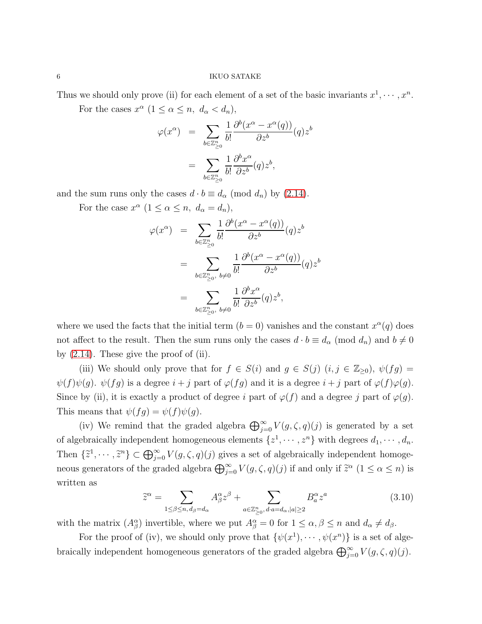#### $6\,$   $\,$  IKUO SATAKE

Thus we should only prove (ii) for each element of a set of the basic invariants  $x^1, \dots, x^n$ .

For the cases  $x^{\alpha}$   $(1 \leq \alpha \leq n, d_{\alpha} < d_n)$ ,

$$
\varphi(x^{\alpha}) = \sum_{b \in \mathbb{Z}_{\geq 0}^n} \frac{1}{b!} \frac{\partial^b (x^{\alpha} - x^{\alpha}(q))}{\partial z^b} (q) z^b
$$

$$
= \sum_{b \in \mathbb{Z}_{\geq 0}^n} \frac{1}{b!} \frac{\partial^b x^{\alpha}}{\partial z^b} (q) z^b,
$$

and the sum runs only the cases  $d \cdot b \equiv d_{\alpha} \pmod{d_n}$  by [\(2.14\)](#page-2-4).

For the case  $x^{\alpha}$   $(1 \leq \alpha \leq n, d_{\alpha} = d_n)$ ,

$$
\varphi(x^{\alpha}) = \sum_{b \in \mathbb{Z}_{\geq 0}^{n}} \frac{1}{b!} \frac{\partial^{b} (x^{\alpha} - x^{\alpha}(q))}{\partial z^{b}} (q) z^{b}
$$

$$
= \sum_{b \in \mathbb{Z}_{\geq 0}^{n}, b \neq 0} \frac{1}{b!} \frac{\partial^{b} (x^{\alpha} - x^{\alpha}(q))}{\partial z^{b}} (q) z^{b}
$$

$$
= \sum_{b \in \mathbb{Z}_{\geq 0}^{n}, b \neq 0} \frac{1}{b!} \frac{\partial^{b} x^{\alpha}}{\partial z^{b}} (q) z^{b},
$$

where we used the facts that the initial term  $(b = 0)$  vanishes and the constant  $x^{\alpha}(q)$  does not affect to the result. Then the sum runs only the cases  $d \cdot b \equiv d_{\alpha} \pmod{d_n}$  and  $b \neq 0$ by  $(2.14)$ . These give the proof of  $(ii)$ .

(iii) We should only prove that for  $f \in S(i)$  and  $g \in S(j)$   $(i, j \in \mathbb{Z}_{\geq 0})$ ,  $\psi(fg) =$  $\psi(f)\psi(g)$ .  $\psi(fg)$  is a degree  $i + j$  part of  $\varphi(fg)$  and it is a degree  $i + j$  part of  $\varphi(f)\varphi(g)$ . Since by (ii), it is exactly a product of degree i part of  $\varphi(f)$  and a degree j part of  $\varphi(g)$ . This means that  $\psi(fg) = \psi(f)\psi(g)$ .

(iv) We remind that the graded algebra  $\bigoplus_{j=0}^{\infty} V(g,\zeta,q)(j)$  is generated by a set of algebraically independent homogeneous elements  $\{z^1, \dots, z^n\}$  with degrees  $d_1, \dots, d_n$ . Then  $\{\tilde{z}^1,\dots,\tilde{z}^n\}\subset \bigoplus_{j=0}^{\infty}V(g,\zeta,q)(j)$  gives a set of algebraically independent homogeneous generators of the graded algebra  $\bigoplus_{j=0}^{\infty} V(g,\zeta,q)(j)$  if and only if  $\tilde{z}^{\alpha}$   $(1 \leq \alpha \leq n)$  is written as

$$
\widetilde{z}^{\alpha} = \sum_{1 \le \beta \le n, d_{\beta} = d_{\alpha}} A^{\alpha}_{\beta} z^{\beta} + \sum_{a \in \mathbb{Z}_{\ge 0}^n, d \cdot a = d_{\alpha}, |a| \ge 2} B^{\alpha}_{a} z^{a}
$$
(3.10)

with the matrix  $(A^{\alpha}_{\beta})$  invertible, where we put  $A^{\alpha}_{\beta} = 0$  for  $1 \leq \alpha, \beta \leq n$  and  $d_{\alpha} \neq d_{\beta}$ .

For the proof of (iv), we should only prove that  $\{\psi(x^1), \cdots, \psi(x^n)\}\)$  is a set of algebraically independent homogeneous generators of the graded algebra  $\bigoplus_{j=0}^{\infty} V(g,\zeta,q)(j)$ .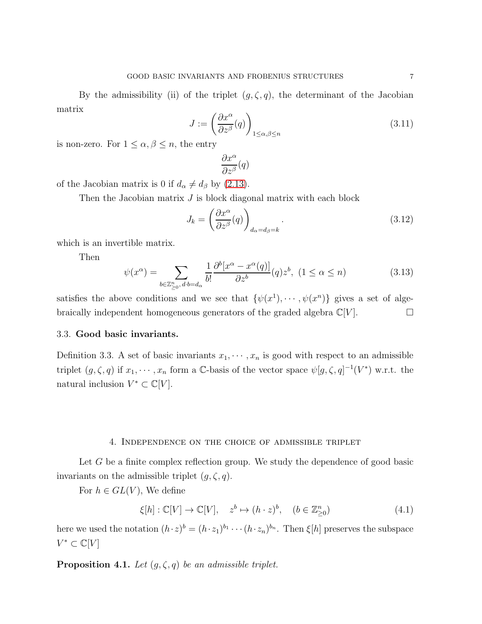By the admissibility (ii) of the triplet  $(g, \zeta, q)$ , the determinant of the Jacobian matrix

$$
J := \left(\frac{\partial x^{\alpha}}{\partial z^{\beta}}(q)\right)_{1 \le \alpha, \beta \le n}
$$
\n(3.11)

is non-zero. For  $1 \leq \alpha, \beta \leq n$ , the entry

$$
\frac{\partial x^\alpha}{\partial z^\beta}(q)
$$

of the Jacobian matrix is 0 if  $d_{\alpha} \neq d_{\beta}$  by [\(2.13\)](#page-2-3).

Then the Jacobian matrix  $J$  is block diagonal matrix with each block

$$
J_k = \left(\frac{\partial x^{\alpha}}{\partial z^{\beta}}(q)\right)_{d_{\alpha} = d_{\beta} = k}.
$$
\n(3.12)

which is an invertible matrix.

Then

$$
\psi(x^{\alpha}) = \sum_{b \in \mathbb{Z}_{\geq 0}^n, d:b=d_{\alpha}} \frac{1}{b!} \frac{\partial^b [x^{\alpha} - x^{\alpha}(q)]}{\partial z^b} (q) z^b, \ (1 \leq \alpha \leq n)
$$
\n(3.13)

satisfies the above conditions and we see that  $\{\psi(x^1), \cdots, \psi(x^n)\}\$  gives a set of algebraically independent homogeneous generators of the graded algebra  $\mathbb{C}[V]$ .

## 3.3. Good basic invariants.

<span id="page-6-1"></span>Definition 3.3. A set of basic invariants  $x_1, \dots, x_n$  is good with respect to an admissible triplet  $(g, \zeta, q)$  if  $x_1, \dots, x_n$  form a C-basis of the vector space  $\psi[g, \zeta, q]^{-1}(V^*)$  w.r.t. the natural inclusion  $V^* \subset \mathbb{C}[V]$ .

#### 4. Independence on the choice of admissible triplet

Let G be a finite complex reflection group. We study the dependence of good basic invariants on the admissible triplet  $(g, \zeta, q)$ .

For  $h \in GL(V)$ , We define

$$
\xi[h]: \mathbb{C}[V] \to \mathbb{C}[V], \quad z^b \mapsto (h \cdot z)^b, \quad (b \in \mathbb{Z}_{\geq 0}^n)
$$
\n
$$
(4.1)
$$

here we used the notation  $(h \cdot z)^b = (h \cdot z_1)^{b_1} \cdots (h \cdot z_n)^{b_n}$ . Then  $\xi[h]$  preserves the subspace  $V^*\subset \mathbb{C}[V]$ 

<span id="page-6-0"></span>**Proposition 4.1.** Let  $(g, \zeta, q)$  be an admissible triplet.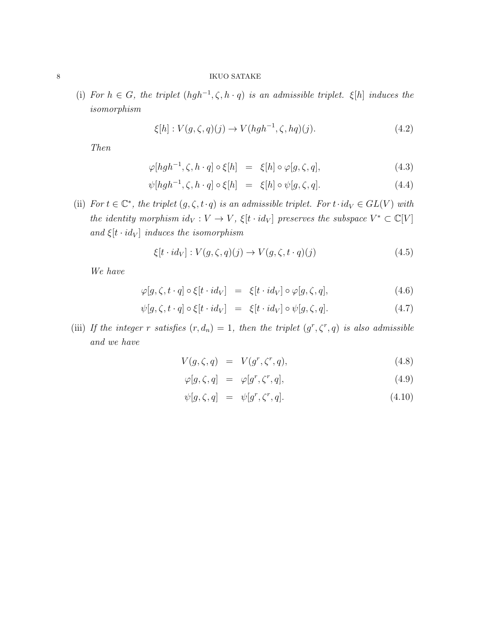(i) For  $h \in G$ , the triplet  $(hgh^{-1}, \zeta, h \cdot q)$  is an admissible triplet.  $\xi[h]$  induces the isomorphism

$$
\xi[h]: V(g,\zeta,q)(j) \to V(hgh^{-1},\zeta,hq)(j). \tag{4.2}
$$

Then

$$
\varphi[hgh^{-1}, \zeta, h \cdot q] \circ \xi[h] = \xi[h] \circ \varphi[g, \zeta, q], \tag{4.3}
$$

$$
\psi[hgh^{-1}, \zeta, h \cdot q] \circ \xi[h] = \xi[h] \circ \psi[g, \zeta, q]. \tag{4.4}
$$

(ii) For  $t \in \mathbb{C}^*$ , the triplet  $(g, \zeta, t \cdot q)$  is an admissible triplet. For  $t \cdot id_V \in GL(V)$  with the identity morphism  $id_V: V \to V$ ,  $\xi[t \cdot id_V]$  preserves the subspace  $V^* \subset \mathbb{C}[V]$ and  $\xi[t \cdot id_V]$  induces the isomorphism

$$
\xi[t \cdot id_V] : V(g, \zeta, q)(j) \to V(g, \zeta, t \cdot q)(j)
$$
\n(4.5)

We have

$$
\varphi[g,\zeta,t\cdot q]\circ\xi[t\cdot id_V] = \xi[t\cdot id_V]\circ\varphi[g,\zeta,q],\tag{4.6}
$$

$$
\psi[g,\zeta,t\cdot q] \circ \xi[t\cdot id_V] = \xi[t\cdot id_V] \circ \psi[g,\zeta,q]. \tag{4.7}
$$

(iii) If the integer r satisfies  $(r, d_n) = 1$ , then the triplet  $(g^r, \zeta^r, q)$  is also admissible and we have

<span id="page-7-0"></span>
$$
V(g,\zeta,q) = V(g^r,\zeta^r,q), \qquad (4.8)
$$

$$
\varphi[g,\zeta,q] = \varphi[g^r,\zeta^r,q],\tag{4.9}
$$

$$
\psi[g,\zeta,q] = \psi[g^r,\zeta^r,q]. \tag{4.10}
$$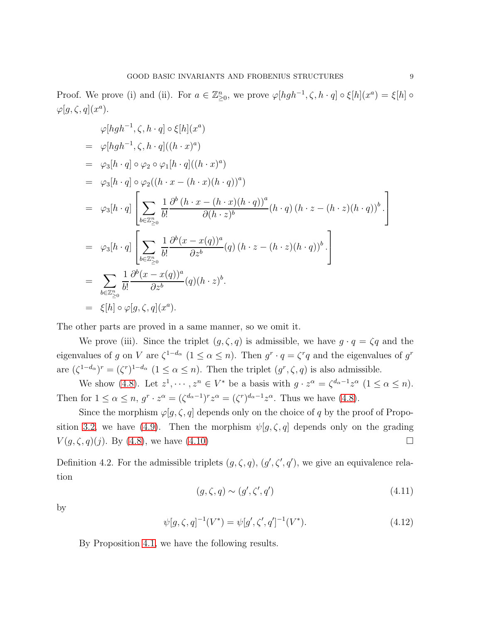Proof. We prove (i) and (ii). For  $a \in \mathbb{Z}_{\geq 0}^n$ , we prove  $\varphi[hgh^{-1}, \zeta, h \cdot q] \circ \xi[h](x^a) = \xi[h] \circ$  $\varphi[g,\zeta,q](x^a).$ 

$$
\varphi[hgh^{-1}, \zeta, h \cdot q] \circ \xi[h](x^{a})
$$
\n
$$
= \varphi[hgh^{-1}, \zeta, h \cdot q]((h \cdot x)^{a})
$$
\n
$$
= \varphi_{3}[h \cdot q] \circ \varphi_{2} \circ \varphi_{1}[h \cdot q]((h \cdot x)^{a})
$$
\n
$$
= \varphi_{3}[h \cdot q] \circ \varphi_{2}((h \cdot x - (h \cdot x)(h \cdot q))^{a})
$$
\n
$$
= \varphi_{3}[h \cdot q] \left[ \sum_{b \in \mathbb{Z}_{\geq 0}^{n}} \frac{1}{b!} \frac{\partial^{b} (h \cdot x - (h \cdot x)(h \cdot q))^{a}}{\partial (h \cdot z)^{b}} (h \cdot q) (h \cdot z - (h \cdot z)(h \cdot q))^{b} \right]
$$
\n
$$
= \varphi_{3}[h \cdot q] \left[ \sum_{b \in \mathbb{Z}_{\geq 0}^{n}} \frac{1}{b!} \frac{\partial^{b} (x - x(q))^{a}}{\partial z^{b}} (q) (h \cdot z - (h \cdot z)(h \cdot q))^{b} \right]
$$
\n
$$
= \sum_{b \in \mathbb{Z}_{\geq 0}^{n}} \frac{1}{b!} \frac{\partial^{b} (x - x(q))^{a}}{\partial z^{b}} (q) (h \cdot z)^{b}.
$$
\n
$$
= \xi[h] \circ \varphi[g, \zeta, q](x^{a}).
$$

The other parts are proved in a same manner, so we omit it.

We prove (iii). Since the triplet  $(g, \zeta, q)$  is admissible, we have  $g \cdot q = \zeta q$  and the eigenvalues of g on V are  $\zeta^{1-d_{\alpha}}$   $(1 \le \alpha \le n)$ . Then  $g^r \cdot q = \zeta^r q$  and the eigenvalues of  $g^r$ are  $(\zeta^{1-d_{\alpha}})^{r} = (\zeta^{r})^{1-d_{\alpha}} (1 \leq \alpha \leq n)$ . Then the triplet  $(g^{r}, \zeta, q)$  is also admissible.

We show [\(4.8\)](#page-7-0). Let  $z^1, \dots, z^n \in V^*$  be a basis with  $g \cdot z^{\alpha} = \zeta^{d_{\alpha}-1} z^{\alpha}$   $(1 \le \alpha \le n)$ . Then for  $1 \le \alpha \le n$ ,  $g^r \cdot z^{\alpha} = (\zeta^{d_{\alpha}-1})^r z^{\alpha} = (\zeta^r)^{d_{\alpha}-1} z^{\alpha}$ . Thus we have [\(4.8\)](#page-7-0).

Since the morphism  $\varphi[g,\zeta,q]$  depends only on the choice of q by the proof of Propo-sition 3.2, we have [\(4.9\)](#page-7-0). Then the morphism  $\psi[g,\zeta,q]$  depends only on the grading  $V(g,\zeta,q)(j)$ . By [\(4.8\)](#page-7-0), we have [\(4.10\)](#page-7-0)

Definition 4.2. For the admissible triplets  $(g, \zeta, q)$ ,  $(g', \zeta', q')$ , we give an equivalence relation

$$
(g,\zeta,q) \sim (g',\zeta',q') \tag{4.11}
$$

by

$$
\psi[g,\zeta,q]^{-1}(V^*) = \psi[g',\zeta',q']^{-1}(V^*). \tag{4.12}
$$

By Proposition [4.1,](#page-6-0) we have the following results.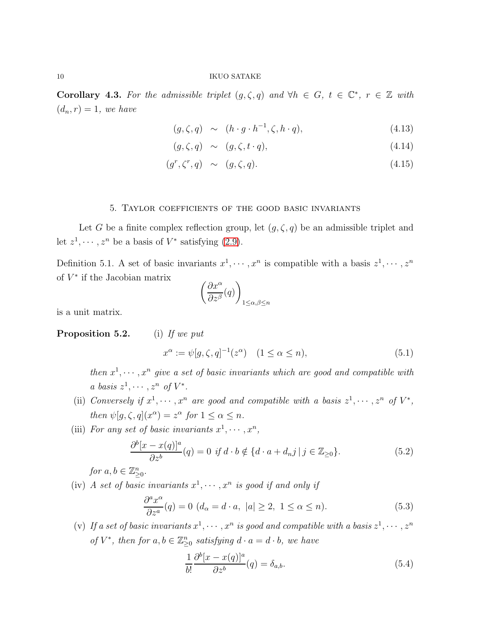Corollary 4.3. For the admissible triplet  $(g, \zeta, q)$  and  $\forall h \in G, t \in \mathbb{C}^*, r \in \mathbb{Z}$  with  $(d_n, r) = 1$ , we have

<span id="page-9-1"></span>
$$
(g,\zeta,q) \sim (h \cdot g \cdot h^{-1}, \zeta, h \cdot q), \qquad (4.13)
$$

$$
(g,\zeta,q) \sim (g,\zeta,t\cdot q), \qquad (4.14)
$$

$$
(g^r, \zeta^r, q) \sim (g, \zeta, q). \tag{4.15}
$$

#### 5. Taylor coefficients of the good basic invariants

Let G be a finite complex reflection group, let  $(g, \zeta, q)$  be an admissible triplet and let  $z^1, \dots, z^n$  be a basis of  $V^*$  satisfying [\(2.9\)](#page-2-5).

<span id="page-9-0"></span>Definition 5.1. A set of basic invariants  $x^1, \dots, x^n$  is compatible with a basis  $z^1, \dots, z^n$ of  $V^*$  if the Jacobian matrix

$$
\left(\frac{\partial x^\alpha}{\partial z^\beta}(q)\right)_{1\leq \alpha,\beta\leq n}
$$

is a unit matrix.

# **Proposition 5.2.** (i) If we put

$$
x^{\alpha} := \psi[g, \zeta, q]^{-1}(z^{\alpha}) \quad (1 \le \alpha \le n), \tag{5.1}
$$

then  $x^1, \dots, x^n$  give a set of basic invariants which are good and compatible with a basis  $z^1, \cdots, z^n$  of  $V^*$ .

- (ii) Conversely if  $x^1, \dots, x^n$  are good and compatible with a basis  $z^1, \dots, z^n$  of  $V^*$ , then  $\psi[g,\zeta,q](x^{\alpha}) = z^{\alpha}$  for  $1 \leq \alpha \leq n$ .
- (iii) For any set of basic invariants  $x^1, \dots, x^n$ ,

<span id="page-9-2"></span>
$$
\frac{\partial^b [x - x(q)]^a}{\partial z^b}(q) = 0 \text{ if } d \cdot b \notin \{d \cdot a + d_n j \mid j \in \mathbb{Z}_{\geq 0}\}.
$$
\n(5.2)

for  $a, b \in \mathbb{Z}_{\geq 0}^n$ .

(iv) A set of basic invariants  $x^1, \dots, x^n$  is good if and only if

<span id="page-9-4"></span>
$$
\frac{\partial^a x^{\alpha}}{\partial z^a}(q) = 0 \ (d_{\alpha} = d \cdot a, \ |a| \ge 2, \ 1 \le \alpha \le n). \tag{5.3}
$$

(v) If a set of basic invariants  $x^1, \dots, x^n$  is good and compatible with a basis  $z^1, \dots, z^n$ of  $V^*$ , then for  $a, b \in \mathbb{Z}_{\geq 0}^n$  satisfying  $d \cdot a = d \cdot b$ , we have

<span id="page-9-3"></span>
$$
\frac{1}{b!} \frac{\partial^b [x - x(q)]^a}{\partial z^b}(q) = \delta_{a,b}.
$$
\n(5.4)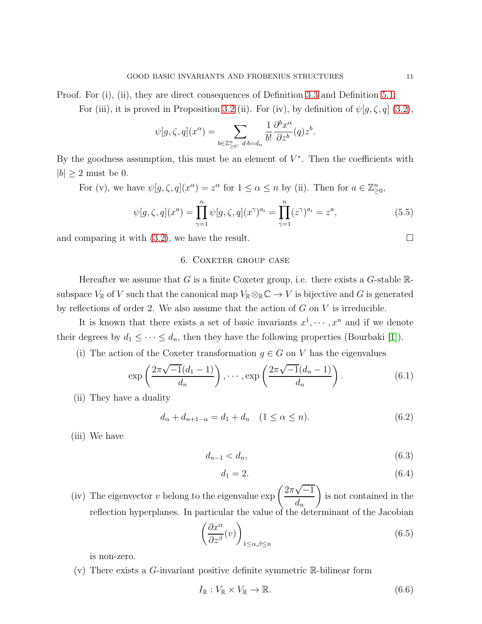Proof. For (i), (ii), they are direct consequences of Definition [3.3](#page-6-1) and Definition [5.1.](#page-9-0)

For (iii), it is proved in Proposition 3.2 (ii). For (iv), by definition of  $\psi[g,\zeta,q]$  [\(3.2\)](#page-3-1),

$$
\psi[g,\zeta,q](x^{\alpha}) = \sum_{b \in \mathbb{Z}_{\geq 0}^n, \ d \cdot b = d_{\alpha}} \frac{1}{b!} \frac{\partial^b x^{\alpha}}{\partial z^b}(q) z^b.
$$

By the goodness assumption, this must be an element of  $V^*$ . Then the coefficients with  $|b| > 2$  must be 0.

For (v), we have  $\psi[g,\zeta,q](x^{\alpha})=z^{\alpha}$  for  $1 \leq \alpha \leq n$  by (ii). Then for  $a \in \mathbb{Z}_{\geq 0}^n$ ,

$$
\psi[g,\zeta,q](x^a) = \prod_{\gamma=1}^n \psi[g,\zeta,q](x^{\gamma})^{a_i} = \prod_{\gamma=1}^n (z^{\gamma})^{a_i} = z^a,
$$
\n(5.5)

and comparing it with  $(3.2)$ , we have the result.

# 6. COXETER GROUP CASE

Hereafter we assume that G is a finite Coxeter group, i.e. there exists a G-stable  $\mathbb{R}$ subspace  $V_{\mathbb{R}}$  of V such that the canonical map  $V_{\mathbb{R}} \otimes_{\mathbb{R}} \mathbb{C} \to V$  is bijective and G is generated by reflections of order 2. We also assume that the action of  $G$  on  $V$  is irreducible.

It is known that there exists a set of basic invariants  $x^1, \dots, x^n$  and if we denote their degrees by  $d_1 \leq \cdots \leq d_n$ , then they have the following properties (Bourbaki [\[1\]](#page-20-2)).

(i) The action of the Coxeter transformation  $g \in G$  on V has the eigenvalues

$$
\exp\left(\frac{2\pi\sqrt{-1}(d_1-1)}{d_n}\right), \cdots, \exp\left(\frac{2\pi\sqrt{-1}(d_n-1)}{d_n}\right). \tag{6.1}
$$

(ii) They have a duality

<span id="page-10-1"></span>
$$
d_{\alpha} + d_{n+1-\alpha} = d_1 + d_n \quad (1 \le \alpha \le n). \tag{6.2}
$$

(iii) We have

<span id="page-10-2"></span> $d_{n-1} < d_n,$  (6.3)

$$
d_1 = 2.\t\t(6.4)
$$

(iv) The eigenvector v belong to the eigenvalue  $\exp\left(\frac{2\pi\sqrt{-1}}{l}\right)$  $d_n$  $\overline{ }$ is not contained in the reflection hyperplanes. In particular the value of the determinant of the Jacobian

<span id="page-10-0"></span>
$$
\left(\frac{\partial x^{\alpha}}{\partial z^{\beta}}(v)\right)_{1\leq\alpha,\beta\leq n} \tag{6.5}
$$

is non-zero.

 $(v)$  There exists a G-invariant positive definite symmetric R-bilinear form

<span id="page-10-3"></span>
$$
I_{\mathbb{R}}: V_{\mathbb{R}} \times V_{\mathbb{R}} \to \mathbb{R}.
$$
\n
$$
(6.6)
$$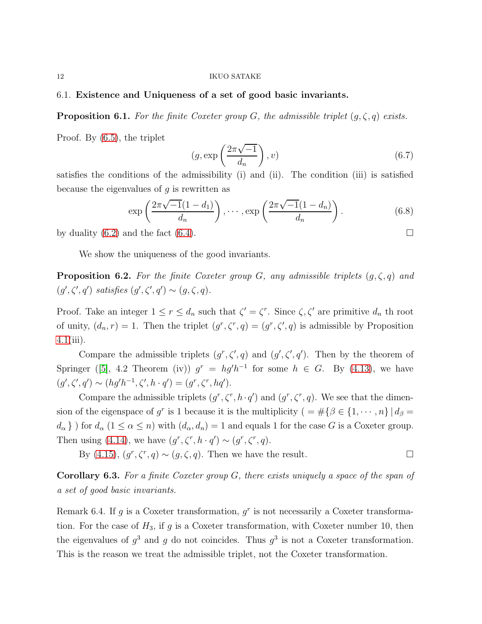#### 12 IKUO SATAKE

## 6.1. Existence and Uniqueness of a set of good basic invariants.

**Proposition 6.1.** For the finite Coxeter group G, the admissible triplet  $(g, \zeta, q)$  exists.

Proof. By [\(6.5\)](#page-10-0), the triplet

$$
(g, \exp\left(\frac{2\pi\sqrt{-1}}{d_n}\right), v) \tag{6.7}
$$

satisfies the conditions of the admissibility (i) and (ii). The condition (iii) is satisfied because the eigenvalues of  $g$  is rewritten as

$$
\exp\left(\frac{2\pi\sqrt{-1}(1-d_1)}{d_n}\right), \cdots, \exp\left(\frac{2\pi\sqrt{-1}(1-d_n)}{d_n}\right). \tag{6.8}
$$

by duality  $(6.2)$  and the fact  $(6.4)$ .

We show the uniqueness of the good invariants.

**Proposition 6.2.** For the finite Coxeter group G, any admissible triplets  $(g, \zeta, q)$  and  $(g', \zeta', q')$  satisfies  $(g', \zeta', q') \sim (g, \zeta, q)$ .

Proof. Take an integer  $1 \le r \le d_n$  such that  $\zeta' = \zeta^r$ . Since  $\zeta, \zeta'$  are primitive  $d_n$  th root of unity,  $(d_n, r) = 1$ . Then the triplet  $(g^r, \zeta^r, q) = (g^r, \zeta^r, q)$  is admissible by Proposition  $4.1(iii)$  $4.1(iii)$ .

Compare the admissible triplets  $(g^r, \zeta', q)$  and  $(g', \zeta', q')$ . Then by the theorem of Springer ([\[5\]](#page-20-3), 4.2 Theorem (iv))  $g^r = hg'h^{-1}$  for some  $h \in G$ . By [\(4.13\)](#page-9-1), we have  $(g', \zeta', q') \sim (hg'h^{-1}, \zeta', h \cdot q') = (g^r, \zeta^r, hq').$ 

Compare the admissible triplets  $(g^r, \zeta^r, h \cdot q')$  and  $(g^r, \zeta^r, q)$ . We see that the dimension of the eigenspace of  $g^r$  is 1 because it is the multiplicity ( =  $\#\{\beta \in \{1, \dots, n\} \mid d_\beta =$  $d_{\alpha}$ } for  $d_{\alpha}$  (1  $\leq \alpha \leq n$ ) with  $(d_{\alpha}, d_n) = 1$  and equals 1 for the case G is a Coxeter group. Then using [\(4.14\)](#page-9-1), we have  $(g^r, \zeta^r, h \cdot q') \sim (g^r, \zeta^r, q)$ .

By  $(4.15)$ ,  $(g^r, \zeta^r, q) \sim (g, \zeta, q)$ . Then we have the result.

<span id="page-11-0"></span>Corollary 6.3. For a finite Coxeter group G, there exists uniquely a space of the span of a set of good basic invariants.

Remark 6.4. If g is a Coxeter transformation,  $g<sup>r</sup>$  is not necessarily a Coxeter transformation. For the case of  $H_3$ , if g is a Coxeter transformation, with Coxeter number 10, then the eigenvalues of  $g^3$  and g do not coincides. Thus  $g^3$  is not a Coxeter transformation. This is the reason we treat the admissible triplet, not the Coxeter transformation.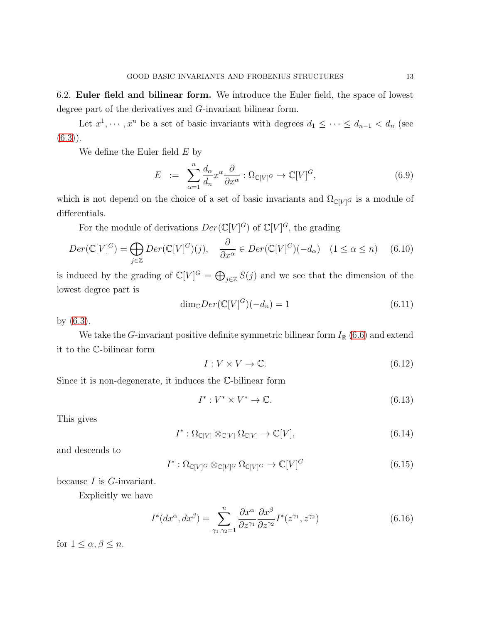6.2. Euler field and bilinear form. We introduce the Euler field, the space of lowest degree part of the derivatives and G-invariant bilinear form.

Let  $x^1, \dots, x^n$  be a set of basic invariants with degrees  $d_1 \leq \dots \leq d_{n-1} < d_n$  (see  $(6.3)$ .

We define the Euler field  $E$  by

$$
E := \sum_{\alpha=1}^{n} \frac{d_{\alpha}}{d_{n}} x^{\alpha} \frac{\partial}{\partial x^{\alpha}} : \Omega_{\mathbb{C}[V]^G} \to \mathbb{C}[V]^G, \tag{6.9}
$$

which is not depend on the choice of a set of basic invariants and  $\Omega_{\mathbb{C}[V]^G}$  is a module of differentials.

For the module of derivations  $Der(\mathbb{C}[V]^G)$  of  $\mathbb{C}[V]^G$ , the grading

$$
Der(\mathbb{C}[V]^G) = \bigoplus_{j \in \mathbb{Z}} Der(\mathbb{C}[V]^G)(j), \quad \frac{\partial}{\partial x^{\alpha}} \in Der(\mathbb{C}[V]^G)(-d_{\alpha}) \quad (1 \le \alpha \le n) \quad (6.10)
$$

is induced by the grading of  $\mathbb{C}[V]^G = \bigoplus_{j\in\mathbb{Z}} S(j)$  and we see that the dimension of the lowest degree part is

$$
\dim_{\mathbb{C}} Der(\mathbb{C}[V]^G)(-d_n) = 1\tag{6.11}
$$

by [\(6.3\)](#page-10-2).

We take the G-invariant positive definite symmetric bilinear form  $I_{\mathbb{R}}$  [\(6.6\)](#page-10-3) and extend it to the C-bilinear form

$$
I: V \times V \to \mathbb{C}.\tag{6.12}
$$

Since it is non-degenerate, it induces the C-bilinear form

$$
I^*: V^* \times V^* \to \mathbb{C}.\tag{6.13}
$$

This gives

$$
I^* : \Omega_{\mathbb{C}[V]} \otimes_{\mathbb{C}[V]} \Omega_{\mathbb{C}[V]} \to \mathbb{C}[V],\tag{6.14}
$$

and descends to

$$
I^* : \Omega_{\mathbb{C}[V]^G} \otimes_{\mathbb{C}[V]^G} \Omega_{\mathbb{C}[V]^G} \to \mathbb{C}[V]^G \tag{6.15}
$$

because  $I$  is  $G$ -invariant.

Explicitly we have

$$
I^*(dx^{\alpha}, dx^{\beta}) = \sum_{\gamma_1, \gamma_2=1}^n \frac{\partial x^{\alpha}}{\partial z^{\gamma_1}} \frac{\partial x^{\beta}}{\partial z^{\gamma_2}} I^*(z^{\gamma_1}, z^{\gamma_2})
$$
(6.16)

for  $1 \leq \alpha, \beta \leq n$ .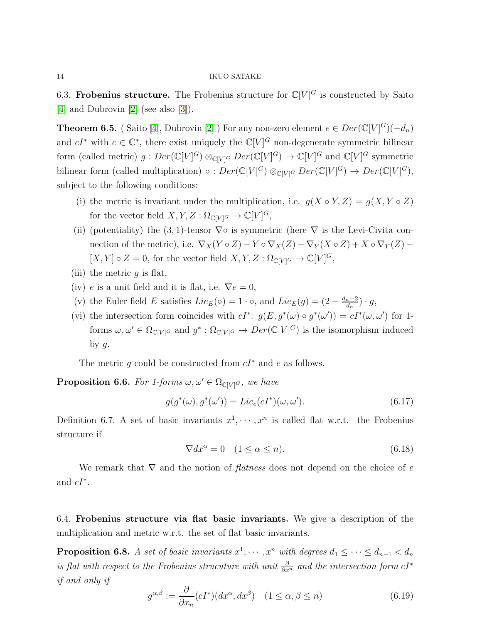#### 14 IKUO SATAKE

6.3. Frobenius structure. The Frobenius structure for  $\mathbb{C}[V]^G$  is constructed by Saito [\[4\]](#page-20-0) and Dubrovin [\[2\]](#page-20-1) (see also [\[3\]](#page-20-4)).

<span id="page-13-1"></span>**Theorem 6.5.** (Saito [\[4\]](#page-20-0), Dubrovin [\[2\]](#page-20-1) ) For any non-zero element  $e \in Der(\mathbb{C}[V]^G)(-d_n)$ and  $cI^*$  with  $c \in \mathbb{C}^*$ , there exist uniquely the  $\mathbb{C}[V]^G$  non-degenerate symmetric bilinear form (called metric)  $g:Der(\mathbb{C}[V]^G) \otimes_{\mathbb{C}[V]^G} Der(\mathbb{C}[V]^G) \to \mathbb{C}[V]^G$  and  $\mathbb{C}[V]^G$  symmetric bilinear form (called multiplication) ◦ :  $Der(\mathbb{C}[V]^G) \otimes_{\mathbb{C}[V]^G} Der(\mathbb{C}[V]^G) \to Der(\mathbb{C}[V]^G)$ , subject to the following conditions:

- (i) the metric is invariant under the multiplication, i.e.  $g(X \circ Y, Z) = g(X, Y \circ Z)$ for the vector field  $X, Y, Z : \Omega_{\mathbb{C}[V]^G} \to \mathbb{C}[V]^G$ ,
- (ii) (potentiality) the (3, 1)-tensor  $\nabla \circ$  is symmetric (here  $\nabla$  is the Levi-Civita connection of the metric), i.e.  $\nabla_X(Y \circ Z) - Y \circ \nabla_X(Z) - \nabla_Y(X \circ Z) + X \circ \nabla_Y(Z)$  $[X, Y] \circ Z = 0$ , for the vector field  $X, Y, Z : \Omega_{\mathbb{C}[V]^G} \to \mathbb{C}[V]^G$ ,
- (iii) the metric  $q$  is flat,
- (iv) e is a unit field and it is flat, i.e.  $\nabla e = 0$ ,
- (v) the Euler field E satisfies  $Lie_E(\circ) = 1 \cdot \circ$ , and  $Lie_E(g) = \left(2 \frac{d_n 2}{d_n}\right)$  $\frac{n-2}{d_n}$ ) · g,
- (vi) the intersection form coincides with  $cI^*$ :  $g(E, g^*(\omega) \circ g^*(\omega')) = cI^*(\omega, \omega')$  for 1forms  $\omega, \omega' \in \Omega_{\mathbb{C}[V]^G}$  and  $g^* : \Omega_{\mathbb{C}[V]^G} \to Der(\mathbb{C}[V]^G)$  is the isomorphism induced by  $g$ .

The metric g could be constructed from  $cI^*$  and e as follows.

<span id="page-13-0"></span>**Proposition 6.6.** For 1-forms  $\omega, \omega' \in \Omega_{\mathbb{C}[V]^G}$ , we have

$$
g(g^*(\omega), g^*(\omega')) = Lie_e(cI^*)(\omega, \omega').
$$
\n(6.17)

Definition 6.7. A set of basic invariants  $x^1, \dots, x^n$  is called flat w.r.t. the Frobenius structure if

$$
\nabla dx^{\alpha} = 0 \quad (1 \le \alpha \le n). \tag{6.18}
$$

We remark that  $\nabla$  and the notion of *flatness* does not depend on the choice of e and  $cI^*$ .

6.4. Frobenius structure via flat basic invariants. We give a description of the multiplication and metric w.r.t. the set of flat basic invariants.

<span id="page-13-3"></span>**Proposition 6.8.** A set of basic invariants  $x^1, \dots, x^n$  with degrees  $d_1 \leq \dots \leq d_{n-1} < d_n$ is flat with respect to the Frobenius strucuture with unit  $\frac{\partial}{\partial x^n}$  and the intersection form  $cI^*$ if and only if

<span id="page-13-2"></span>
$$
g^{\alpha,\beta} := \frac{\partial}{\partial x_n} (cI^*)(dx^\alpha, dx^\beta) \quad (1 \le \alpha, \beta \le n)
$$
\n(6.19)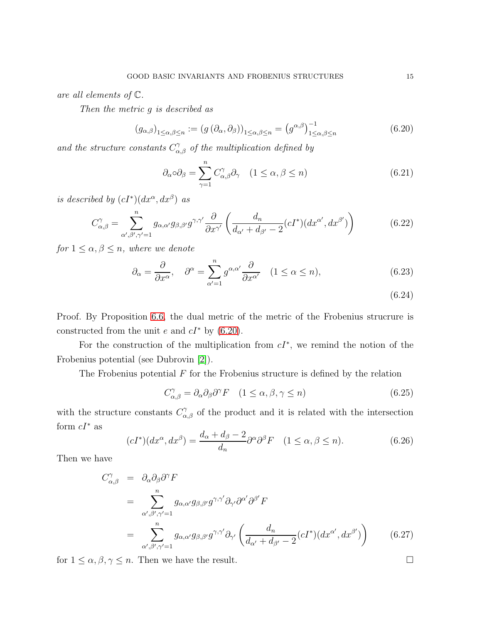are all elements of C.

Then the metric g is described as

<span id="page-14-0"></span>
$$
(g_{\alpha,\beta})_{1 \leq \alpha,\beta \leq n} := (g(\partial_{\alpha}, \partial_{\beta}))_{1 \leq \alpha,\beta \leq n} = (g^{\alpha,\beta})_{1 \leq \alpha,\beta \leq n}^{-1}
$$
(6.20)

and the structure constants  $C^{\gamma}_{\alpha,\beta}$  of the multiplication defined by

$$
\partial_{\alpha}\circ \partial_{\beta} = \sum_{\gamma=1}^{n} C_{\alpha,\beta}^{\gamma} \partial_{\gamma} \quad (1 \le \alpha, \beta \le n)
$$
\n(6.21)

is described by  $(cI^*)(dx^{\alpha}, dx^{\beta})$  as

$$
C_{\alpha,\beta}^{\gamma} = \sum_{\alpha',\beta',\gamma'=1}^{n} g_{\alpha,\alpha'} g_{\beta,\beta'} g^{\gamma,\gamma'} \frac{\partial}{\partial x^{\gamma'}} \left( \frac{d_n}{d_{\alpha'} + d_{\beta'} - 2} (cI^*)(dx^{\alpha'}, dx^{\beta'}) \right)
$$
(6.22)

for  $1 \leq \alpha, \beta \leq n$ , where we denote

$$
\partial_{\alpha} = \frac{\partial}{\partial x^{\alpha}}, \quad \partial^{\alpha} = \sum_{\alpha'=1}^{n} g^{\alpha, \alpha'} \frac{\partial}{\partial x^{\alpha'}} \quad (1 \le \alpha \le n), \tag{6.23}
$$

(6.24)

Proof. By Proposition [6.6,](#page-13-0) the dual metric of the metric of the Frobenius strucrure is constructed from the unit e and  $cI^*$  by [\(6.20\)](#page-14-0).

For the construction of the multiplication from  $cI^*$ , we remind the notion of the Frobenius potential (see Dubrovin [\[2\]](#page-20-1)).

The Frobenius potential  $F$  for the Frobenius structure is defined by the relation

$$
C_{\alpha,\beta}^{\gamma} = \partial_{\alpha}\partial_{\beta}\partial^{\gamma}F \quad (1 \le \alpha, \beta, \gamma \le n)
$$
\n(6.25)

with the structure constants  $C^{\gamma}_{\alpha,\beta}$  of the product and it is related with the intersection form  $cI^*$  as

$$
(cI^*)(dx^{\alpha}, dx^{\beta}) = \frac{d_{\alpha} + d_{\beta} - 2}{d_n} \partial^{\alpha} \partial^{\beta} F \quad (1 \le \alpha, \beta \le n). \tag{6.26}
$$

Then we have

$$
C^{\gamma}_{\alpha,\beta} = \partial_{\alpha}\partial_{\beta}\partial^{\gamma}F
$$
  
\n
$$
= \sum_{\alpha',\beta',\gamma'=1}^{n} g_{\alpha,\alpha'}g_{\beta,\beta'}g^{\gamma,\gamma'}\partial_{\gamma'}\partial^{\alpha'}\partial^{\beta'}F
$$
  
\n
$$
= \sum_{\alpha',\beta',\gamma'=1}^{n} g_{\alpha,\alpha'}g_{\beta,\beta'}g^{\gamma,\gamma'}\partial_{\gamma'}\left(\frac{d_n}{d_{\alpha'}+d_{\beta'}-2}(cI^{*})(dx^{\alpha'},dx^{\beta'})\right) \qquad (6.27)
$$

for  $1 \le \alpha, \beta, \gamma \le n$ . Then we have the result.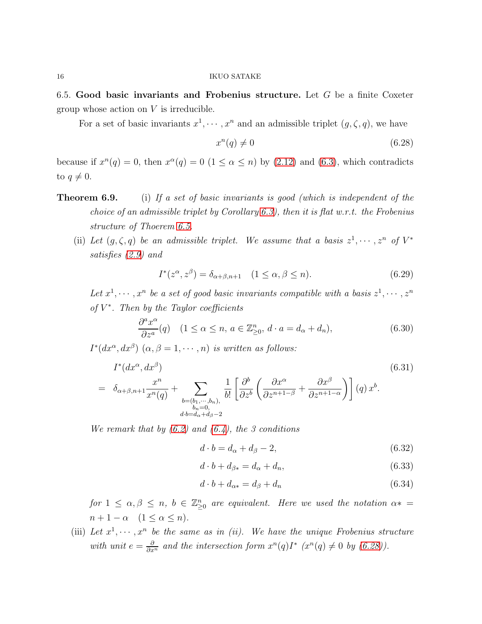6.5. Good basic invariants and Frobenius structure. Let  $G$  be a finite Coxeter group whose action on  $V$  is irreducible.

For a set of basic invariants  $x^1, \dots, x^n$  and an admissible triplet  $(g, \zeta, q)$ , we have

<span id="page-15-0"></span>
$$
x^n(q) \neq 0 \tag{6.28}
$$

because if  $x^n(q) = 0$ , then  $x^{\alpha}(q) = 0$   $(1 \leq \alpha \leq n)$  by  $(2.12)$  and  $(6.3)$ , which contradicts to  $q \neq 0$ .

- **Theorem 6.9.** (i) If a set of basic invariants is good (which is independent of the choice of an admissible triplet by Corollary [6.3\)](#page-11-0), then it is flat w.r.t. the Frobenius structure of Thoerem [6.5.](#page-13-1)
	- (ii) Let  $(g, \zeta, q)$  be an admissible triplet. We assume that a basis  $z^1, \dots, z^n$  of  $V^*$ satisfies [\(2.9\)](#page-2-5) and

<span id="page-15-3"></span>
$$
I^*(z^{\alpha}, z^{\beta}) = \delta_{\alpha+\beta, n+1} \quad (1 \le \alpha, \beta \le n). \tag{6.29}
$$

Let  $x^1, \dots, x^n$  be a set of good basic invariants compatible with a basis  $z^1, \dots, z^n$ of  $V^*$ . Then by the Taylor coefficients

<span id="page-15-1"></span>
$$
\frac{\partial^a x^{\alpha}}{\partial z^a}(q) \quad (1 \le \alpha \le n, a \in \mathbb{Z}_{\ge 0}^n, d \cdot a = d_{\alpha} + d_n), \tag{6.30}
$$

 $I^*(dx^{\alpha}, dx^{\beta})$   $(\alpha, \beta = 1, \dots, n)$  is written as follows:

<span id="page-15-2"></span>
$$
I^*(dx^{\alpha}, dx^{\beta})
$$
\n
$$
= \delta_{\alpha+\beta,n+1} \frac{x^n}{x^n(q)} + \sum_{\substack{b=(b_1,\cdots,b_n),\\b_n=0,\\d\cdot b=d_{\alpha}+d_{\beta}-2}} \frac{1}{b!} \left[ \frac{\partial^b}{\partial z^b} \left( \frac{\partial x^{\alpha}}{\partial z^{n+1-\beta}} + \frac{\partial x^{\beta}}{\partial z^{n+1-\alpha}} \right) \right] (q) x^b.
$$
\n
$$
(6.31)
$$

We remark that by  $(6.2)$  and  $(6.4)$ , the 3 conditions

$$
d \cdot b = d_{\alpha} + d_{\beta} - 2,\tag{6.32}
$$

$$
d \cdot b + d_{\beta*} = d_{\alpha} + d_n, \tag{6.33}
$$

$$
d \cdot b + d_{\alpha*} = d_{\beta} + d_n \tag{6.34}
$$

for  $1 \leq \alpha, \beta \leq n$ ,  $b \in \mathbb{Z}_{\geq 0}^n$  are equivalent. Here we used the notation  $\alpha^* =$  $n+1-\alpha \quad (1 \leq \alpha \leq n).$ 

(iii) Let  $x^1, \dots, x^n$  be the same as in (ii). We have the unique Frobenius structure with unit  $e = \frac{\partial}{\partial x^n}$  and the intersection form  $x^n(q)I^*$   $(x^n(q) \neq 0$  by  $(6.28)$ ).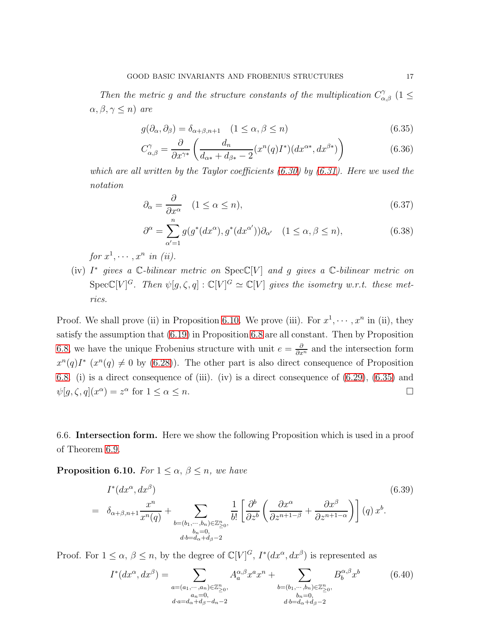Then the metric g and the structure constants of the multiplication  $C^{\gamma}_{\alpha,\beta}$  (1  $\leq$  $\alpha, \beta, \gamma \leq n$ ) are

<span id="page-16-1"></span>
$$
g(\partial_{\alpha}, \partial_{\beta}) = \delta_{\alpha+\beta, n+1} \quad (1 \le \alpha, \beta \le n)
$$
\n(6.35)

$$
C_{\alpha,\beta}^{\gamma} = \frac{\partial}{\partial x^{\gamma*}} \left( \frac{d_n}{d_{\alpha*} + d_{\beta*} - 2} (x^n(q)I^*)(dx^{\alpha*}, dx^{\beta*}) \right)
$$
(6.36)

which are all written by the Taylor coefficients  $(6.30)$  by  $(6.31)$ . Here we used the notation

$$
\partial_{\alpha} = \frac{\partial}{\partial x^{\alpha}} \quad (1 \le \alpha \le n), \tag{6.37}
$$

$$
\partial^{\alpha} = \sum_{\alpha'=1}^{n} g(g^*(dx^{\alpha}), g^*(dx^{\alpha'})) \partial_{\alpha'} \quad (1 \le \alpha, \beta \le n), \tag{6.38}
$$

for  $x^1, \cdots, x^n$  in (ii).

(iv)  $I^*$  gives a  $\mathbb C$ -bilinear metric on  $Spec \mathbb C[V]$  and g gives a  $\mathbb C$ -bilinear metric on  $Spec \mathbb{C}[V]^G$ . Then  $\psi[g,\zeta,q] : \mathbb{C}[V]^G \simeq \mathbb{C}[V]$  gives the isometry w.r.t. these metrics.

Proof. We shall prove (ii) in Proposition [6.10.](#page-16-0) We prove (iii). For  $x^1, \dots, x^n$  in (ii), they satisfy the assumption that [\(6.19\)](#page-13-2) in Proposition [6.8](#page-13-3) are all constant. Then by Proposition [6.8,](#page-13-3) we have the unique Frobenius structure with unit  $e = \frac{\partial}{\partial x^n}$  and the intersection form  $x^{n}(q)I^{*}(x^{n}(q) \neq 0$  by [\(6.28\)](#page-15-0)). The other part is also direct consequence of Proposition [6.8.](#page-13-3) (i) is a direct consequence of (iii). (iv) is a direct consequence of [\(6.29\)](#page-15-3), [\(6.35\)](#page-16-1) and  $\psi[g,\zeta,q](x^{\alpha}) = z^{\alpha}$  for  $1 \leq \alpha \leq n$ .

6.6. Intersection form. Here we show the following Proposition which is used in a proof of Theorem 6.9.

<span id="page-16-0"></span>**Proposition 6.10.** For  $1 \leq \alpha, \beta \leq n$ , we have

$$
I^*(dx^{\alpha}, dx^{\beta})
$$
\n
$$
= \delta_{\alpha+\beta,n+1} \frac{x^n}{x^n(q)} + \sum_{\substack{b=(b_1,\cdots,b_n)\in \mathbb{Z}_{\geq 0}^n,\\b_n=0,\\db=d_{\alpha}+d_{\beta}-2}} \frac{1}{b!} \left[ \frac{\partial^b}{\partial z^b} \left( \frac{\partial x^{\alpha}}{\partial z^{n+1-\beta}} + \frac{\partial x^{\beta}}{\partial z^{n+1-\alpha}} \right) \right] (q) x^b.
$$
\n
$$
(6.39)
$$

Proof. For  $1 \leq \alpha$ ,  $\beta \leq n$ , by the degree of  $\mathbb{C}[V]^G$ ,  $I^*(dx^{\alpha}, dx^{\beta})$  is represented as

<span id="page-16-2"></span>
$$
I^*(dx^{\alpha}, dx^{\beta}) = \sum_{\substack{a=(a_1,\cdots,a_n)\in\mathbb{Z}_{\geq 0}^n,\\a_n=0,\\d \cdot a = d_{\alpha} + d_{\beta} - d_n - 2}} A^{\alpha,\beta}_{a} x^a x^n + \sum_{\substack{b=(b_1,\cdots,b_n)\in\mathbb{Z}_{\geq 0}^n,\\b_n=0,\\d \cdot b = d_{\alpha} + d_{\beta} - 2}} B^{\alpha,\beta}_{b} x^b \tag{6.40}
$$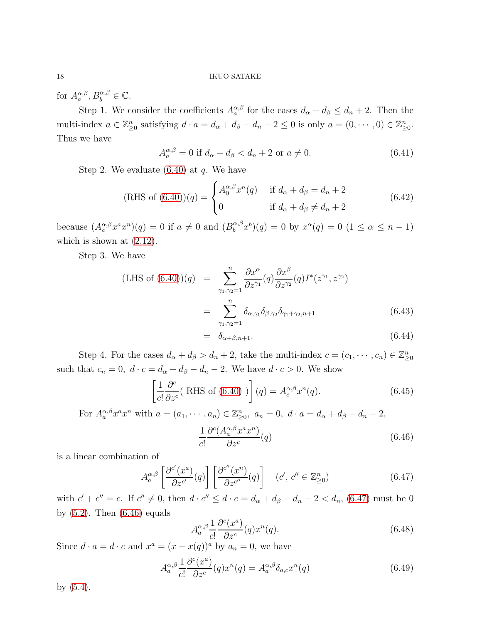for  $A_{a}^{\alpha,\beta}, B_{b}^{\alpha,\beta} \in \mathbb{C}$ .

Step 1. We consider the coefficients  $A_{a}^{\alpha,\beta}$  for the cases  $d_{\alpha} + d_{\beta} \leq d_{n} + 2$ . Then the multi-index  $a \in \mathbb{Z}_{\geq 0}^n$  satisfying  $d \cdot a = d_\alpha + d_\beta - d_n - 2 \leq 0$  is only  $a = (0, \dots, 0) \in \mathbb{Z}_{\geq 0}^n$ . Thus we have

$$
A_a^{\alpha,\beta} = 0 \text{ if } d_\alpha + d_\beta < d_n + 2 \text{ or } a \neq 0. \tag{6.41}
$$

Step 2. We evaluate  $(6.40)$  at q. We have

(RHS of (6.40))(q) =   
\n
$$
\begin{cases}\nA_0^{\alpha,\beta}x^n(q) & \text{if } d_{\alpha} + d_{\beta} = d_n + 2 \\
0 & \text{if } d_{\alpha} + d_{\beta} \neq d_n + 2\n\end{cases}
$$
\n(6.42)

because  $(A_a^{\alpha,\beta} x^a x^n)(q) = 0$  if  $a \neq 0$  and  $(B_b^{\alpha,\beta})$  $b^{\alpha,\beta}x^b$  $(q) = 0$  by  $x^{\alpha}(q) = 0$   $(1 \leq \alpha \leq n-1)$ which is shown at  $(2.12)$ .

Step 3. We have

(LHS of (6.40))(q) = 
$$
\sum_{\gamma_1,\gamma_2=1}^n \frac{\partial x^{\alpha}}{\partial z^{\gamma_1}}(q) \frac{\partial x^{\beta}}{\partial z^{\gamma_2}}(q) I^*(z^{\gamma_1}, z^{\gamma_2})
$$

$$
= \sum_{\gamma_1,\gamma_2=1}^n \delta_{\alpha,\gamma_1} \delta_{\beta,\gamma_2} \delta_{\gamma_1+\gamma_2,n+1}
$$
(6.43)

$$
= \delta_{\alpha+\beta,n+1}.\tag{6.44}
$$

Step 4. For the cases  $d_{\alpha} + d_{\beta} > d_n + 2$ , take the multi-index  $c = (c_1, \dots, c_n) \in \mathbb{Z}_{\geq 0}^n$ such that  $c_n = 0$ ,  $d \cdot c = d_\alpha + d_\beta - d_n - 2$ . We have  $d \cdot c > 0$ . We show

<span id="page-17-2"></span>
$$
\left[\frac{1}{c!} \frac{\partial^c}{\partial z^c} (\text{ RHS of (6.40)})\right](q) = A_c^{\alpha,\beta} x^n(q). \tag{6.45}
$$

For  $A_a^{\alpha,\beta} x^a x^n$  with  $a = (a_1, \dots, a_n) \in \mathbb{Z}_{\geq 0}^n$ ,  $a_n = 0$ ,  $d \cdot a = d_\alpha + d_\beta - d_n - 2$ ,

<span id="page-17-1"></span>
$$
\frac{1}{c!} \frac{\partial^c (A^{\alpha,\beta}_a x^a x^n)}{\partial z^c} (q) \tag{6.46}
$$

is a linear combination of

<span id="page-17-0"></span>
$$
A_{a}^{\alpha,\beta} \left[ \frac{\partial^{c'}(x^{a})}{\partial z^{c'}}(q) \right] \left[ \frac{\partial^{c''}(x^{n})}{\partial z^{c''}}(q) \right] \quad (c',\ c'' \in \mathbb{Z}_{\geq 0}^{n})
$$
\n
$$
(6.47)
$$
\n
$$
a' \quad (c, c) \quad (d, d) \quad (e', c' \in \mathbb{Z}_{\geq 0}^{n})
$$

with  $c' + c'' = c$ . If  $c'' \neq 0$ , then  $d \cdot c'' \leq d \cdot c = d_{\alpha} + d_{\beta} - d_n - 2 < d_n$ , [\(6.47\)](#page-17-0) must be 0 by  $(5.2)$ . Then  $(6.46)$  equals

$$
A_{a}^{\alpha,\beta} \frac{1}{c!} \frac{\partial^{c}(x^{a})}{\partial z^{c}}(q) x^{n}(q). \tag{6.48}
$$

Since  $d \cdot a = d \cdot c$  and  $x^a = (x - x(q))^a$  by  $a_n = 0$ , we have

$$
A_{a}^{\alpha,\beta} \frac{1}{c!} \frac{\partial^{c}(x^{a})}{\partial z^{c}}(q) x^{n}(q) = A_{a}^{\alpha,\beta} \delta_{a,c} x^{n}(q)
$$
\n(6.49)

by [\(5.4\)](#page-9-3).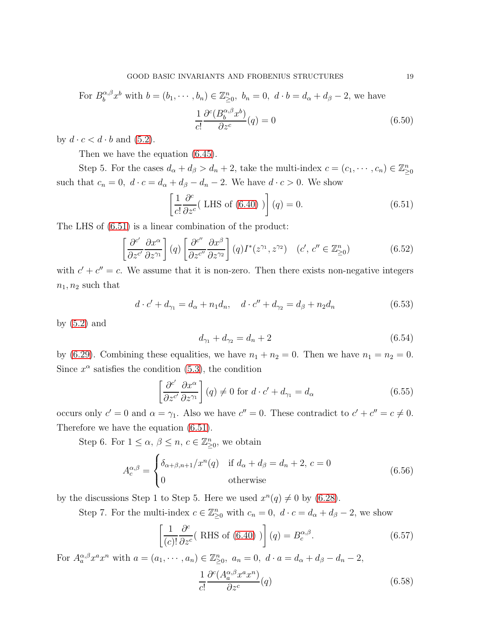For  $B_h^{\alpha,\beta}$  $b_0^{\alpha,\beta}x^b$  with  $b=(b_1,\dots,b_n)\in \mathbb{Z}_{\geq 0}^n$ ,  $b_n=0$ ,  $d\cdot b=d_{\alpha}+d_{\beta}-2$ , we have

$$
\frac{1}{c!} \frac{\partial^c (B_b^{\alpha,\beta} x^b)}{\partial z^c} (q) = 0
$$
\n(6.50)

by  $d \cdot c < d \cdot b$  and  $(5.2)$ .

Then we have the equation [\(6.45\)](#page-17-2).

Step 5. For the cases  $d_{\alpha} + d_{\beta} > d_n + 2$ , take the multi-index  $c = (c_1, \dots, c_n) \in \mathbb{Z}_{\geq 0}^n$ such that  $c_n = 0$ ,  $d \cdot c = d_\alpha + d_\beta - d_n - 2$ . We have  $d \cdot c > 0$ . We show

<span id="page-18-0"></span>
$$
\left[\frac{1}{c!} \frac{\partial^c}{\partial z^c} (\text{LHS of (6.40)})\right](q) = 0. \tag{6.51}
$$

The LHS of [\(6.51\)](#page-18-0) is a linear combination of the product:

$$
\left[\frac{\partial^{c'}}{\partial z^{c'}}\frac{\partial x^{\alpha}}{\partial z^{\gamma_1}}\right](q)\left[\frac{\partial^{c''}}{\partial z^{c''}}\frac{\partial x^{\beta}}{\partial z^{\gamma_2}}\right](q)I^*(z^{\gamma_1}, z^{\gamma_2}) \quad (c', c'' \in \mathbb{Z}_{\geq 0}^n) \tag{6.52}
$$

with  $c' + c'' = c$ . We assume that it is non-zero. Then there exists non-negative integers  $n_1, n_2$  such that

$$
d \cdot c' + d_{\gamma_1} = d_{\alpha} + n_1 d_n, \quad d \cdot c'' + d_{\gamma_2} = d_{\beta} + n_2 d_n \tag{6.53}
$$

by [\(5.2\)](#page-9-2) and

$$
d_{\gamma_1} + d_{\gamma_2} = d_n + 2 \tag{6.54}
$$

by [\(6.29\)](#page-15-3). Combining these equalities, we have  $n_1 + n_2 = 0$ . Then we have  $n_1 = n_2 = 0$ . Since  $x^{\alpha}$  satisfies the condition [\(5.3\)](#page-9-4), the condition

$$
\left[\frac{\partial^{c'}}{\partial z^{c'}} \frac{\partial x^{\alpha}}{\partial z^{\gamma_1}}\right](q) \neq 0 \text{ for } d \cdot c' + d_{\gamma_1} = d_{\alpha}
$$
\n(6.55)

occurs only  $c' = 0$  and  $\alpha = \gamma_1$ . Also we have  $c'' = 0$ . These contradict to  $c' + c'' = c \neq 0$ . Therefore we have the equation [\(6.51\)](#page-18-0).

Step 6. For  $1 \leq \alpha, \beta \leq n, c \in \mathbb{Z}_{\geq 0}^n$ , we obtain

$$
A_c^{\alpha,\beta} = \begin{cases} \delta_{\alpha+\beta,n+1}/x^n(q) & \text{if } d_{\alpha} + d_{\beta} = d_n + 2, c = 0\\ 0 & \text{otherwise} \end{cases}
$$
(6.56)

by the discussions Step 1 to Step 5. Here we used  $x^n(q) \neq 0$  by [\(6.28\)](#page-15-0).

Step 7. For the multi-index  $c \in \mathbb{Z}_{\geq 0}^n$  with  $c_n = 0$ ,  $d \cdot c = d_\alpha + d_\beta - 2$ , we show

<span id="page-18-2"></span><span id="page-18-1"></span>
$$
\left[\frac{1}{(c)!}\frac{\partial^c}{\partial z^c}(\text{ RHS of } (6.40))\right](q) = B_c^{\alpha,\beta}.
$$
\n(6.57)

For  $A_a^{\alpha,\beta} x^a x^n$  with  $a = (a_1, \dots, a_n) \in \mathbb{Z}_{\geq 0}^n$ ,  $a_n = 0$ ,  $d \cdot a = d_\alpha + d_\beta - d_n - 2$ , 1 c!  $\partial^{c}(A_{a}^{\alpha,\beta}x^{a}x^{n})$  $\partial z^c$  $(6.58)$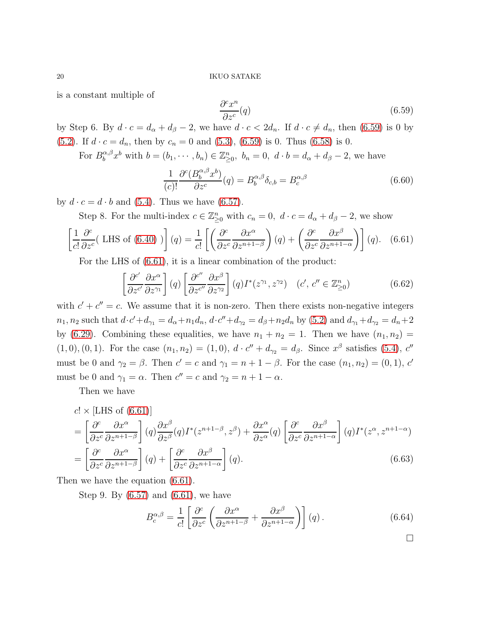is a constant multiple of

<span id="page-19-0"></span>
$$
\frac{\partial^c x^n}{\partial z^c}(q) \tag{6.59}
$$

by Step 6. By  $d \cdot c = d_{\alpha} + d_{\beta} - 2$ , we have  $d \cdot c < 2d_n$ . If  $d \cdot c \neq d_n$ , then [\(6.59\)](#page-19-0) is 0 by [\(5.2\)](#page-9-2). If  $d \cdot c = d_n$ , then by  $c_n = 0$  and [\(5.3\)](#page-9-4), [\(6.59\)](#page-19-0) is 0. Thus [\(6.58\)](#page-18-1) is 0.

For  $B_b^{\alpha,\beta}x^b$  with  $b=(b_1,\dots,b_n)\in \mathbb{Z}_{\geq 0}^n$ ,  $b_n=0$ ,  $d\cdot b=d_{\alpha}+d_{\beta}-2$ , we have

$$
\frac{1}{(c)!} \frac{\partial^c (B_b^{\alpha,\beta} x^b)}{\partial z^c} (q) = B_b^{\alpha,\beta} \delta_{c,b} = B_c^{\alpha,\beta}
$$
\n(6.60)

by  $d \cdot c = d \cdot b$  and [\(5.4\)](#page-9-3). Thus we have [\(6.57\)](#page-18-2).

Step 8. For the multi-index  $c \in \mathbb{Z}_{\geq 0}^n$  with  $c_n = 0$ ,  $d \cdot c = d_\alpha + d_\beta - 2$ , we show

<span id="page-19-1"></span>
$$
\left[\frac{1}{c!} \frac{\partial^c}{\partial z^c} (\text{LHS of (6.40)})\right](q) = \frac{1}{c!} \left[\left(\frac{\partial^c}{\partial z^c} \frac{\partial x^{\alpha}}{\partial z^{n+1-\beta}}\right)(q) + \left(\frac{\partial^c}{\partial z^c} \frac{\partial x^{\beta}}{\partial z^{n+1-\alpha}}\right)\right](q). \quad (6.61)
$$

For the LHS of [\(6.61\)](#page-19-1), it is a linear combination of the product:

$$
\left[\frac{\partial^{c'}}{\partial z^{c'}}\frac{\partial x^{\alpha}}{\partial z^{\gamma_1}}\right](q)\left[\frac{\partial^{c''}}{\partial z^{c''}}\frac{\partial x^{\beta}}{\partial z^{\gamma_2}}\right](q)I^*(z^{\gamma_1}, z^{\gamma_2}) \quad (c', c'' \in \mathbb{Z}_{\geq 0}^n) \tag{6.62}
$$

with  $c' + c'' = c$ . We assume that it is non-zero. Then there exists non-negative integers  $n_1, n_2$  such that  $d \cdot c' + d_{\gamma_1} = d_{\alpha} + n_1 d_n$ ,  $d \cdot c'' + d_{\gamma_2} = d_{\beta} + n_2 d_n$  by [\(5.2\)](#page-9-2) and  $d_{\gamma_1} + d_{\gamma_2} = d_n + 2$ by [\(6.29\)](#page-15-3). Combining these equalities, we have  $n_1 + n_2 = 1$ . Then we have  $(n_1, n_2) =$  $(1, 0), (0, 1)$ . For the case  $(n_1, n_2) = (1, 0), d \cdot c'' + d_{\gamma_2} = d_{\beta}$ . Since  $x^{\beta}$  satisfies [\(5.4\)](#page-9-3),  $c''$ must be 0 and  $\gamma_2 = \beta$ . Then  $c' = c$  and  $\gamma_1 = n + 1 - \beta$ . For the case  $(n_1, n_2) = (0, 1)$ ,  $c'$ must be 0 and  $\gamma_1 = \alpha$ . Then  $c'' = c$  and  $\gamma_2 = n + 1 - \alpha$ .

Then we have

$$
c! \times [\text{LHS of (6.61)}]
$$
  
=  $\left[ \frac{\partial^c}{\partial z^c} \frac{\partial x^{\alpha}}{\partial z^{n+1-\beta}} \right] (q) \frac{\partial x^{\beta}}{\partial z^{\beta}} (q) I^*(z^{n+1-\beta}, z^{\beta}) + \frac{\partial x^{\alpha}}{\partial z^{\alpha}} (q) \left[ \frac{\partial^c}{\partial z^c} \frac{\partial x^{\beta}}{\partial z^{n+1-\alpha}} \right] (q) I^*(z^{\alpha}, z^{n+1-\alpha})$   
=  $\left[ \frac{\partial^c}{\partial z^c} \frac{\partial x^{\alpha}}{\partial z^{n+1-\beta}} \right] (q) + \left[ \frac{\partial^c}{\partial z^c} \frac{\partial x^{\beta}}{\partial z^{n+1-\alpha}} \right] (q).$  (6.63)

Then we have the equation [\(6.61\)](#page-19-1).

Step 9. By [\(6.57\)](#page-18-2) and [\(6.61\)](#page-19-1), we have

$$
B_c^{\alpha,\beta} = \frac{1}{c!} \left[ \frac{\partial^c}{\partial z^c} \left( \frac{\partial x^{\alpha}}{\partial z^{n+1-\beta}} + \frac{\partial x^{\beta}}{\partial z^{n+1-\alpha}} \right) \right] (q) . \tag{6.64}
$$